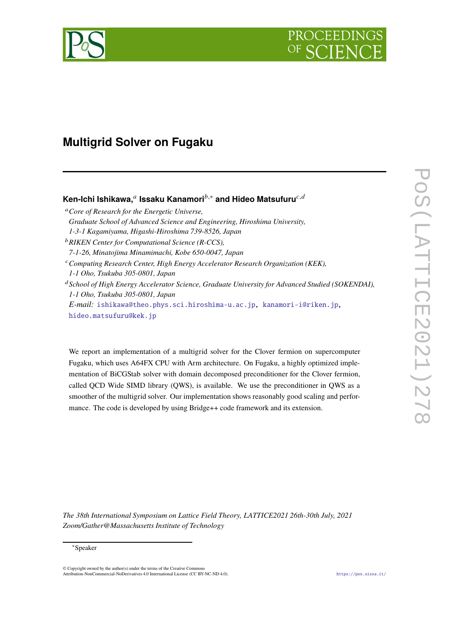

# **Multigrid Solver on Fugaku**

# Ken-Ichi Ishikawa,<sup>⊿</sup> Issaku Kanamori<sup>b,</sup>∗ and Hideo Matsufuru<sup>c,d</sup>

<sup>𝑎</sup>*Core of Research for the Energetic Universe, Graduate School of Advanced Science and Engineering, Hiroshima University, 1-3-1 Kagamiyama, Higashi-Hiroshima 739-8526, Japan* <sup>b</sup> RIKEN Center for Computational Science (R-CCS), *7-1-26, Minatojima Minamimachi, Kobe 650-0047, Japan* <sup>𝑐</sup>*Computing Research Center, High Energy Accelerator Research Organization (KEK), 1-1 Oho, Tsukuba 305-0801, Japan* <sup>d</sup> School of High Energy Accelerator Science, Graduate University for Advanced Studied (SOKENDAI), *1-1 Oho, Tsukuba 305-0801, Japan E-mail:* [ishikawa@theo.phys.sci.hiroshima-u.ac.jp,](mailto:ishikawa@theo.phys.sci.hiroshima-u.ac.jp) [kanamori-i@riken.jp,](mailto:kanamori-i@riken.jp) [hideo.matsufuru@kek.jp](mailto:hideo.matsufuru@kek.jp)

We report an implementation of a multigrid solver for the Clover fermion on supercomputer Fugaku, which uses A64FX CPU with Arm architecture. On Fugaku, a highly optimized implementation of BiCGStab solver with domain decomposed preconditioner for the Clover fermion, called QCD Wide SIMD library (QWS), is available. We use the preconditioner in QWS as a smoother of the multigrid solver. Our implementation shows reasonably good scaling and performance. The code is developed by using Bridge++ code framework and its extension.

*The 38th International Symposium on Lattice Field Theory, LATTICE2021 26th-30th July, 2021 Zoom/Gather@Massachusetts Institute of Technology*

#### <sup>∗</sup>Speaker

© Copyright owned by the author(s) under the terms of the Creative Commons Attribution-NonCommercial-NoDerivatives 4.0 International License (CC BY-NC-ND 4.0). <https://pos.sissa.it/>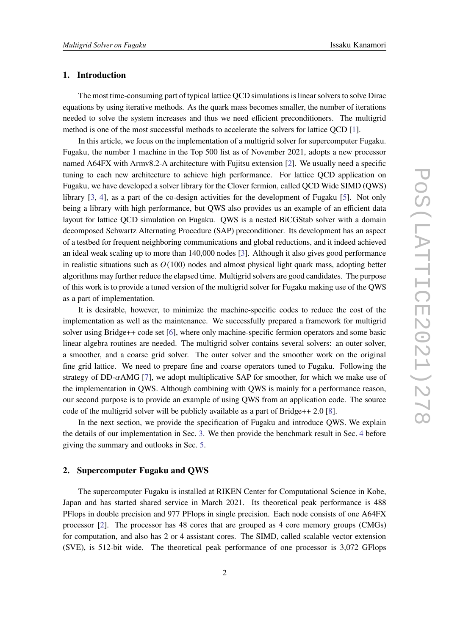#### **1. Introduction**

The most time-consuming part of typical lattice QCD simulations is linear solvers to solve Dirac equations by using iterative methods. As the quark mass becomes smaller, the number of iterations needed to solve the system increases and thus we need efficient preconditioners. The multigrid method is one of the most successful methods to accelerate the solvers for lattice QCD [\[1\]](#page-7-0).

In this article, we focus on the implementation of a multigrid solver for supercomputer Fugaku. Fugaku, the number 1 machine in the Top 500 list as of November 2021, adopts a new processor named A64FX with Armv8.2-A architecture with Fujitsu extension [\[2\]](#page-7-1). We usually need a specific tuning to each new architecture to achieve high performance. For lattice QCD application on Fugaku, we have developed a solver library for the Clover fermion, called QCD Wide SIMD (QWS) library [\[3](#page-7-2), [4](#page-7-3)], as a part of the co-design activities for the development of Fugaku [\[5\]](#page-7-4). Not only being a library with high performance, but QWS also provides us an example of an efficient data layout for lattice QCD simulation on Fugaku. QWS is a nested BiCGStab solver with a domain decomposed Schwartz Alternating Procedure (SAP) preconditioner. Its development has an aspect of a testbed for frequent neighboring communications and global reductions, and it indeed achieved an ideal weak scaling up to more than 140,000 nodes [\[3](#page-7-2)]. Although it also gives good performance in realistic situations such as  $O(100)$  nodes and almost physical light quark mass, adopting better algorithms may further reduce the elapsed time. Multigrid solvers are good candidates. The purpose of this work is to provide a tuned version of the multigrid solver for Fugaku making use of the QWS as a part of implementation.

It is desirable, however, to minimize the machine-specific codes to reduce the cost of the implementation as well as the maintenance. We successfully prepared a framework for multigrid solver using Bridge++ code set [\[6](#page-7-5)], where only machine-specific fermion operators and some basic linear algebra routines are needed. The multigrid solver contains several solvers: an outer solver, a smoother, and a coarse grid solver. The outer solver and the smoother work on the original fine grid lattice. We need to prepare fine and coarse operators tuned to Fugaku. Following the strategy of DD- $\alpha$ AMG [\[7](#page-7-6)], we adopt multiplicative SAP for smoother, for which we make use of the implementation in QWS. Although combining with QWS is mainly for a performance reason, our second purpose is to provide an example of using QWS from an application code. The source code of the multigrid solver will be publicly available as a part of Bridge++ 2.0 [\[8\]](#page-7-7).

In the next section, we provide the specification of Fugaku and introduce QWS. We explain the details of our implementation in Sec. [3.](#page-2-0) We then provide the benchmark result in Sec. [4](#page-4-0) before giving the summary and outlooks in Sec. [5.](#page-5-0)

#### **2. Supercomputer Fugaku and QWS**

The supercomputer Fugaku is installed at RIKEN Center for Computational Science in Kobe, Japan and has started shared service in March 2021. Its theoretical peak performance is 488 PFlops in double precision and 977 PFlops in single precision. Each node consists of one A64FX processor [\[2](#page-7-1)]. The processor has 48 cores that are grouped as 4 core memory groups (CMGs) for computation, and also has 2 or 4 assistant cores. The SIMD, called scalable vector extension (SVE), is 512-bit wide. The theoretical peak performance of one processor is 3,072 GFlops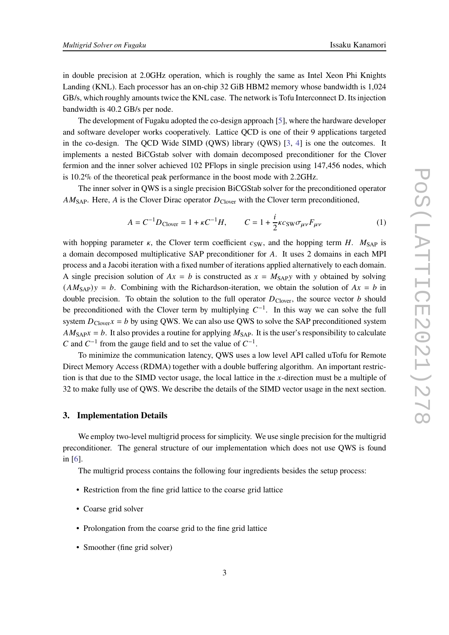in double precision at 2.0GHz operation, which is roughly the same as Intel Xeon Phi Knights Landing (KNL). Each processor has an on-chip 32 GiB HBM2 memory whose bandwidth is 1,024 GB/s, which roughly amounts twice the KNL case. The network is Tofu Interconnect D. Its injection bandwidth is 40.2 GB/s per node.

The development of Fugaku adopted the co-design approach [\[5](#page-7-4)], where the hardware developer and software developer works cooperatively. Lattice QCD is one of their 9 applications targeted in the co-design. The QCD Wide SIMD (QWS) library (QWS) [\[3,](#page-7-2) [4](#page-7-3)] is one the outcomes. It implements a nested BiCGstab solver with domain decomposed preconditioner for the Clover fermion and the inner solver achieved 102 PFlops in single precision using 147,456 nodes, which is 10.2% of the theoretical peak performance in the boost mode with 2.2GHz.

The inner solver in QWS is a single precision BiCGStab solver for the preconditioned operator  $AM<sub>SAP</sub>$ . Here, A is the Clover Dirac operator  $D<sub>Clover</sub>$  with the Clover term preconditioned,

$$
A = C^{-1}D_{\text{Clover}} = 1 + \kappa C^{-1}H, \qquad C = 1 + \frac{i}{2}\kappa c_{\text{SW}}\sigma_{\mu\nu}F_{\mu\nu}
$$
 (1)

with hopping parameter  $\kappa$ , the Clover term coefficient  $c_{SW}$ , and the hopping term H.  $M_{SAP}$  is a domain decomposed multiplicative SAP preconditioner for A. It uses 2 domains in each MPI process and a Jacobi iteration with a fixed number of iterations applied alternatively to each domain. A single precision solution of  $Ax = b$  is constructed as  $x = M_{SAP}y$  with y obtained by solving  $(AM<sub>SAP</sub>)y = b$ . Combining with the Richardson-iteration, we obtain the solution of  $Ax = b$  in double precision. To obtain the solution to the full operator  $D_{\text{Clover}}$ , the source vector  $b$  should be preconditioned with the Clover term by multiplying  $C^{-1}$ . In this way we can solve the full system  $D_{\text{Cover}}x = b$  by using QWS. We can also use QWS to solve the SAP preconditioned system  $AM_{\text{SAP}}x = b$ . It also provides a routine for applying  $M_{\text{SAP}}$ . It is the user's responsibility to calculate C and  $C^{-1}$  from the gauge field and to set the value of  $C^{-1}$ .

To minimize the communication latency, QWS uses a low level API called uTofu for Remote Direct Memory Access (RDMA) together with a double buffering algorithm. An important restriction is that due to the SIMD vector usage, the local lattice in the x-direction must be a multiple of 32 to make fully use of QWS. We describe the details of the SIMD vector usage in the next section.

#### <span id="page-2-0"></span>**3. Implementation Details**

We employ two-level multigrid process for simplicity. We use single precision for the multigrid preconditioner. The general structure of our implementation which does not use QWS is found in [\[6\]](#page-7-5).

The multigrid process contains the following four ingredients besides the setup process:

- Restriction from the fine grid lattice to the coarse grid lattice
- Coarse grid solver
- Prolongation from the coarse grid to the fine grid lattice
- Smoother (fine grid solver)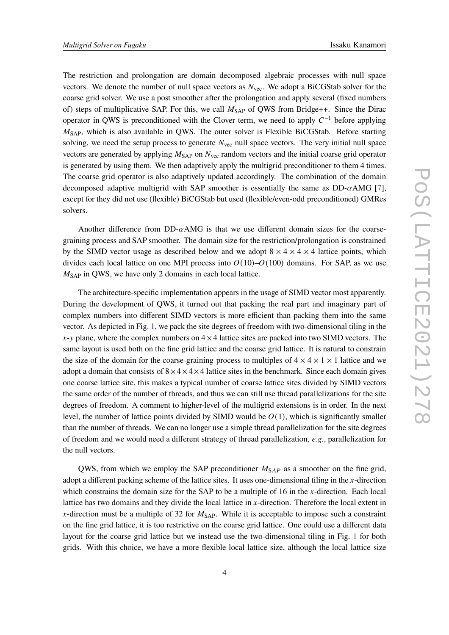The restriction and prolongation are domain decomposed algebraic processes with null space vectors. We denote the number of null space vectors as  $N_{\text{vec}}$ . We adopt a BiCGStab solver for the coarse grid solver. We use a post smoother after the prolongation and apply several (fixed numbers of) steps of multiplicative SAP. For this, we call  $M_{SAP}$  of QWS from Bridge++. Since the Dirac operator in QWS is preconditioned with the Clover term, we need to apply  $C^{-1}$  before applying  $M<sub>SAP</sub>$ , which is also available in QWS. The outer solver is Flexible BiCGStab. Before starting solving, we need the setup process to generate  $N_{\text{vec}}$  null space vectors. The very initial null space vectors are generated by applying  $M<sub>SAP</sub>$  on  $N<sub>vec</sub>$  random vectors and the initial coarse grid operator is generated by using them. We then adaptively apply the multigrid preconditioner to them 4 times. The coarse grid operator is also adaptively updated accordingly. The combination of the domain decomposed adaptive multigrid with SAP smoother is essentially the same as  $DD-\alpha AMG$  [\[7](#page-7-6)], except for they did not use (flexible) BiCGStab but used (flexible/even-odd preconditioned) GMRes solvers.

Another difference from  $DD-\alpha$ AMG is that we use different domain sizes for the coarsegraining process and SAP smoother. The domain size for the restriction/prolongation is constrained by the SIMD vector usage as described below and we adopt  $8 \times 4 \times 4 \times 4$  lattice points, which divides each local lattice on one MPI process into  $O(10)-O(100)$  domains. For SAP, as we use  $M<sub>SAP</sub>$  in QWS, we have only 2 domains in each local lattice.

The architecture-specific implementation appears in the usage of SIMD vector most apparently. During the development of QWS, it turned out that packing the real part and imaginary part of complex numbers into different SIMD vectors is more efficient than packing them into the same vector. As depicted in Fig. [1,](#page-4-1) we pack the site degrees of freedom with two-dimensional tiling in the  $x-y$  plane, where the complex numbers on  $4 \times 4$  lattice sites are packed into two SIMD vectors. The same layout is used both on the fine grid lattice and the coarse grid lattice. It is natural to constrain the size of the domain for the coarse-graining process to multiples of  $4 \times 4 \times 1 \times 1$  lattice and we adopt a domain that consists of  $8 \times 4 \times 4 \times 4$  lattice sites in the benchmark. Since each domain gives one coarse lattice site, this makes a typical number of coarse lattice sites divided by SIMD vectors the same order of the number of threads, and thus we can still use thread parallelizations for the site degrees of freedom. A comment to higher-level of the multigrid extensions is in order. In the next level, the number of lattice points divided by SIMD would be  $O(1)$ , which is significantly smaller than the number of threads. We can no longer use a simple thread parallelization for the site degrees of freedom and we would need a different strategy of thread parallelization, *e.g.*, parallelization for the null vectors.

QWS, from which we employ the SAP preconditioner  $M_{SAP}$  as a smoother on the fine grid, adopt a different packing scheme of the lattice sites. It uses one-dimensional tiling in the  $x$ -direction which constrains the domain size for the SAP to be a multiple of 16 in the  $x$ -direction. Each local lattice has two domains and they divide the local lattice in  $x$ -direction. Therefore the local extent in x-direction must be a multiple of 32 for  $M_{\text{SAP}}$ . While it is acceptable to impose such a constraint on the fine grid lattice, it is too restrictive on the coarse grid lattice. One could use a different data layout for the coarse grid lattice but we instead use the two-dimensional tiling in Fig. [1](#page-4-1) for both grids. With this choice, we have a more flexible local lattice size, although the local lattice size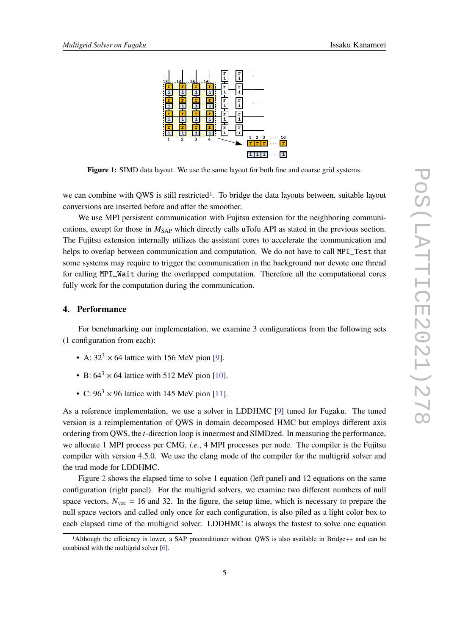<span id="page-4-1"></span>

Figure 1: SIMD data layout. We use the same layout for both fine and coarse grid systems.

we can combine with OWS is still restricted<sup>[1](#page-4-2)</sup>. To bridge the data layouts between, suitable layout conversions are inserted before and after the smoother.

We use MPI persistent communication with Fujitsu extension for the neighboring communications, except for those in  $M_{\text{SAP}}$  which directly calls uTofu API as stated in the previous section. The Fujitsu extension internally utilizes the assistant cores to accelerate the communication and helps to overlap between communication and computation. We do not have to call MPI\_Test that some systems may require to trigger the communication in the background nor devote one thread for calling MPI\_Wait during the overlapped computation. Therefore all the computational cores fully work for the computation during the communication.

## <span id="page-4-0"></span>**4. Performance**

For benchmarking our implementation, we examine 3 configurations from the following sets (1 configuration from each):

- A:  $32<sup>3</sup> \times 64$  lattice with 156 MeV pion [\[9](#page-7-8)].
- B:  $64^3 \times 64$  lattice with 512 MeV pion [\[10\]](#page-7-9).
- C:  $96<sup>3</sup> \times 96$  lattice with 145 MeV pion [\[11\]](#page-7-10).

As a reference implementation, we use a solver in LDDHMC [\[9\]](#page-7-8) tuned for Fugaku. The tuned version is a reimplementation of QWS in domain decomposed HMC but employs different axis ordering from QWS, the *t*-direction loop is innermost and SIMDzed. In measuring the performance, we allocate 1 MPI process per CMG, *i.e.*, 4 MPI processes per node. The compiler is the Fujitsu compiler with version 4.5.0. We use the clang mode of the compiler for the multigrid solver and the trad mode for LDDHMC.

Figure [2](#page-5-1) shows the elapsed time to solve 1 equation (left panel) and 12 equations on the same configuration (right panel). For the multigrid solvers, we examine two different numbers of null space vectors,  $N_{\text{vec}} = 16$  and 32. In the figure, the setup time, which is necessary to prepare the null space vectors and called only once for each configuration, is also piled as a light color box to each elapsed time of the multigrid solver. LDDHMC is always the fastest to solve one equation

<span id="page-4-2"></span><sup>1</sup>Although the efficiency is lower, a SAP preconditioner without QWS is also available in Bridge++ and can be combined with the multigrid solver [\[6](#page-7-5)].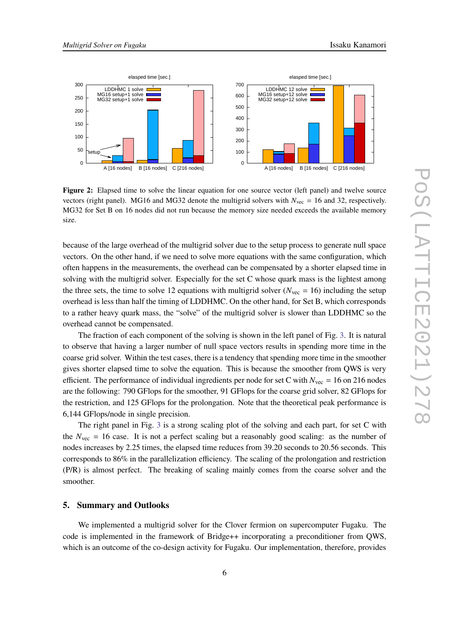<span id="page-5-1"></span>

**Figure 2:** Elapsed time to solve the linear equation for one source vector (left panel) and twelve source vectors (right panel). MG16 and MG32 denote the multigrid solvers with  $N_{\text{vec}} = 16$  and 32, respectively. MG32 for Set B on 16 nodes did not run because the memory size needed exceeds the available memory size.

because of the large overhead of the multigrid solver due to the setup process to generate null space vectors. On the other hand, if we need to solve more equations with the same configuration, which often happens in the measurements, the overhead can be compensated by a shorter elapsed time in solving with the multigrid solver. Especially for the set C whose quark mass is the lightest among the three sets, the time to solve 12 equations with multigrid solver ( $N_{\text{vec}} = 16$ ) including the setup overhead is less than half the timing of LDDHMC. On the other hand, for Set B, which corresponds to a rather heavy quark mass, the "solve" of the multigrid solver is slower than LDDHMC so the overhead cannot be compensated.

The fraction of each component of the solving is shown in the left panel of Fig. [3.](#page-6-0) It is natural to observe that having a larger number of null space vectors results in spending more time in the coarse grid solver. Within the test cases, there is a tendency that spending more time in the smoother gives shorter elapsed time to solve the equation. This is because the smoother from QWS is very efficient. The performance of individual ingredients per node for set C with  $N_{\text{vec}} = 16$  on 216 nodes are the following: 790 GFlops for the smoother, 91 GFlops for the coarse grid solver, 82 GFlops for the restriction, and 125 GFlops for the prolongation. Note that the theoretical peak performance is 6,144 GFlops/node in single precision.

The right panel in Fig. [3](#page-6-0) is a strong scaling plot of the solving and each part, for set C with the  $N_{\text{vec}} = 16$  case. It is not a perfect scaling but a reasonably good scaling: as the number of nodes increases by 2.25 times, the elapsed time reduces from 39.20 seconds to 20.56 seconds. This corresponds to 86% in the parallelization efficiency. The scaling of the prolongation and restriction (P/R) is almost perfect. The breaking of scaling mainly comes from the coarse solver and the smoother.

#### <span id="page-5-0"></span>**5. Summary and Outlooks**

We implemented a multigrid solver for the Clover fermion on supercomputer Fugaku. The code is implemented in the framework of Bridge++ incorporating a preconditioner from QWS, which is an outcome of the co-design activity for Fugaku. Our implementation, therefore, provides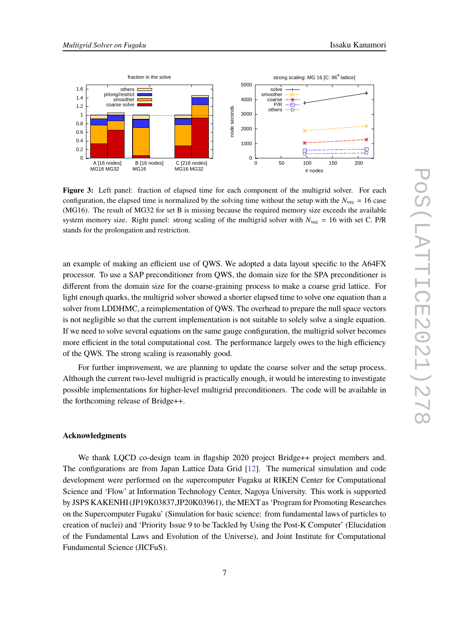<span id="page-6-0"></span>

**Figure 3:** Left panel: fraction of elapsed time for each component of the multigrid solver. For each configuration, the elapsed time is normalized by the solving time without the setup with the  $N_{\text{vec}} = 16$  case (MG16). The result of MG32 for set B is missing because the required memory size exceeds the available system memory size. Right panel: strong scaling of the multigrid solver with  $N_{\text{vec}} = 16$  with set C. P/R stands for the prolongation and restriction.

an example of making an efficient use of QWS. We adopted a data layout specific to the A64FX processor. To use a SAP preconditioner from QWS, the domain size for the SPA preconditioner is different from the domain size for the coarse-graining process to make a coarse grid lattice. For light enough quarks, the multigrid solver showed a shorter elapsed time to solve one equation than a solver from LDDHMC, a reimplementation of QWS. The overhead to prepare the null space vectors is not negligible so that the current implementation is not suitable to solely solve a single equation. If we need to solve several equations on the same gauge configuration, the multigrid solver becomes more efficient in the total computational cost. The performance largely owes to the high efficiency of the QWS. The strong scaling is reasonably good.

For further improvement, we are planning to update the coarse solver and the setup process. Although the current two-level multigrid is practically enough, it would be interesting to investigate possible implementations for higher-level multigrid preconditioners. The code will be available in the forthcoming release of Bridge++.

#### **Acknowledgments**

We thank LQCD co-design team in flagship 2020 project Bridge++ project members and. The configurations are from Japan Lattice Data Grid [\[12](#page-7-11)]. The numerical simulation and code development were performed on the supercomputer Fugaku at RIKEN Center for Computational Science and 'Flow' at Information Technology Center, Nagoya University. This work is supported by JSPS KAKENHI (JP19K03837,JP20K03961), the MEXT as 'Program for Promoting Researches on the Supercomputer Fugaku' (Simulation for basic science: from fundamental laws of particles to creation of nuclei) and 'Priority Issue 9 to be Tackled by Using the Post-K Computer' (Elucidation of the Fundamental Laws and Evolution of the Universe), and Joint Institute for Computational Fundamental Science (JICFuS).